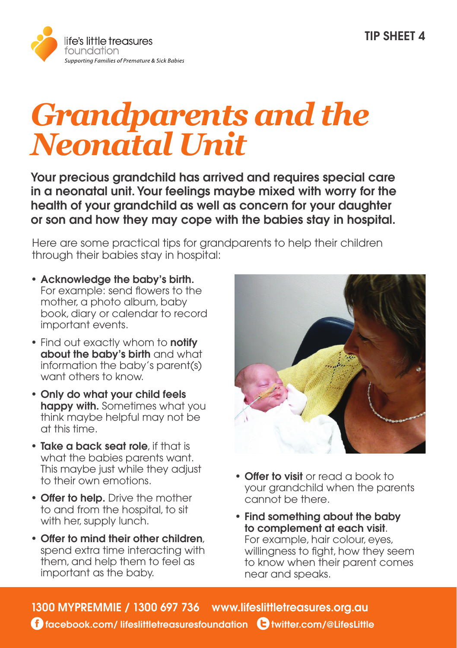

## *Grandparents and the Neonatal Unit*

Your precious grandchild has arrived and requires special care in a neonatal unit. Your feelings maybe mixed with worry for the health of your grandchild as well as concern for your daughter or son and how they may cope with the babies stay in hospital.

Here are some practical tips for grandparents to help their children through their babies stay in hospital:

- Acknowledge the baby's birth. For example: send flowers to the mother, a photo album, baby book, diary or calendar to record important events.
- Find out exactly whom to **notify** about the baby's birth and what information the baby's parent(s) want others to know.
- Only do what your child feels happy with. Sometimes what you think maybe helpful may not be at this time.
- Take a back seat role, if that is what the babies parents want. This maybe just while they adjust to their own emotions.
- Offer to help. Drive the mother to and from the hospital, to sit with her, supply lunch.
- Offer to mind their other children, spend extra time interacting with them, and help them to feel as important as the baby.



- Offer to visit or read a book to your grandchild when the parents cannot be there.
- Find something about the baby to complement at each visit. For example, hair colour, eyes, willingness to fight, how they seem to know when their parent comes near and speaks.